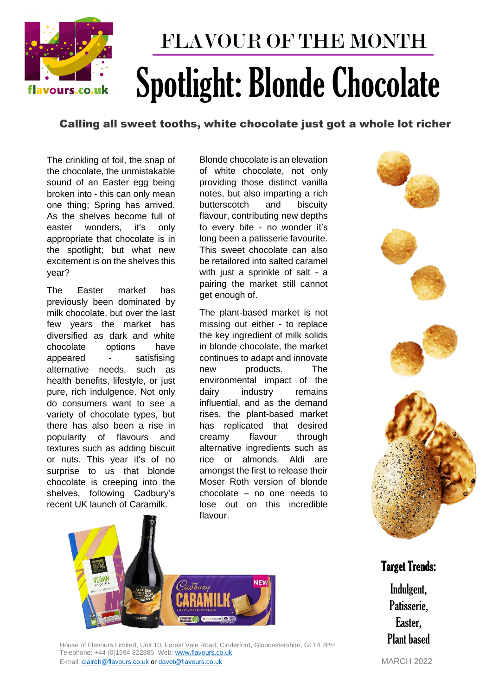

# FLAVOUR OF THE MONTH Spotlight: Blonde Chocolate

### Calling all sweet tooths, white chocolate just got a whole lot richer

The crinkling of foil, the snap of the chocolate, the unmistakable sound of an Easter egg being broken into - this can only mean one thing; Spring has arrived. As the shelves become full of easter wonders, it's only appropriate that chocolate is in the spotlight; but what new excitement is on the shelves this year?

The Easter market has previously been dominated by milk chocolate, but over the last few years the market has diversified as dark and white chocolate options have appeared - satisfising alternative needs, such as health benefits, lifestyle, or just pure, rich indulgence. Not only do consumers want to see a variety of chocolate types, but there has also been a rise in popularity of flavours and textures such as adding biscuit or nuts. This year it's of no surprise to us that blonde chocolate is creeping into the shelves, following Cadbury's recent UK launch of Caramilk.

Blonde chocolate is an elevation of white chocolate, not only providing those distinct vanilla notes, but also imparting a rich butterscotch and biscuity flavour, contributing new depths to every bite - no wonder it's long been a patisserie favourite. This sweet chocolate can also be retailored into salted caramel with just a sprinkle of salt - a pairing the market still cannot get enough of.

The plant-based market is not missing out either - to replace the key ingredient of milk solids in blonde chocolate, the market continues to adapt and innovate new products. The environmental impact of the dairy industry remains influential, and as the demand rises, the plant-based market has replicated that desired creamy flavour through alternative ingredients such as rice or almonds. Aldi are amongst the first to release their Moser Roth version of blonde chocolate – no one needs to lose out on this incredible flavour.





House of Flavours Limited, Unit 10, Forest Vale Road, Cinderford, Gloucestershire, GL14 2PH Telephone: +44 (0)1594 822885 Web: [www.flavours.co.uk](http://www.flavours.co.uk/)  E-mail: [claireh@flavours.co.uk](mailto:claireh@flavours.co.uk) o[r davet@flavours.co.uk](mailto:davet@flavours.co.uk) MARCH 2022

## Target Trends:

Indulgent, Patisserie, Easter, Plant based